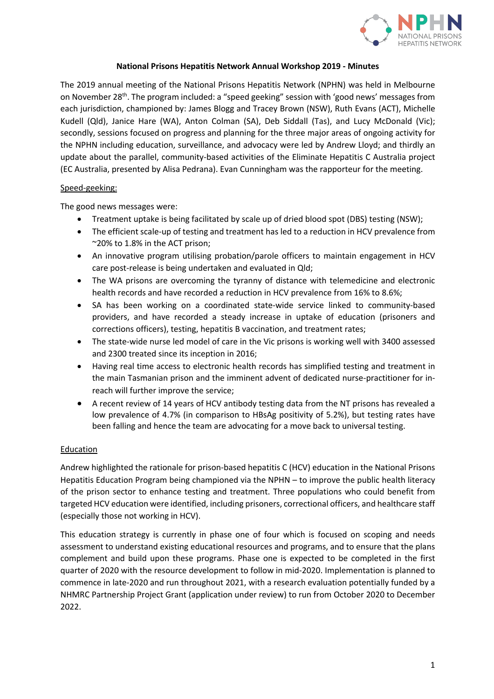

### **National Prisons Hepatitis Network Annual Workshop 2019 - Minutes**

The 2019 annual meeting of the National Prisons Hepatitis Network (NPHN) was held in Melbourne on November 28<sup>th</sup>. The program included: a "speed geeking" session with 'good news' messages from each jurisdiction, championed by: James Blogg and Tracey Brown (NSW), Ruth Evans (ACT), Michelle Kudell (Qld), Janice Hare (WA), Anton Colman (SA), Deb Siddall (Tas), and Lucy McDonald (Vic); secondly, sessions focused on progress and planning for the three major areas of ongoing activity for the NPHN including education, surveillance, and advocacy were led by Andrew Lloyd; and thirdly an update about the parallel, community-based activities of the Eliminate Hepatitis C Australia project (EC Australia, presented by Alisa Pedrana). Evan Cunningham was the rapporteur for the meeting.

## Speed-geeking:

The good news messages were:

- Treatment uptake is being facilitated by scale up of dried blood spot (DBS) testing (NSW);
- The efficient scale-up of testing and treatment has led to a reduction in HCV prevalence from ~20% to 1.8% in the ACT prison;
- An innovative program utilising probation/parole officers to maintain engagement in HCV care post-release is being undertaken and evaluated in Qld;
- The WA prisons are overcoming the tyranny of distance with telemedicine and electronic health records and have recorded a reduction in HCV prevalence from 16% to 8.6%;
- SA has been working on a coordinated state-wide service linked to community-based providers, and have recorded a steady increase in uptake of education (prisoners and corrections officers), testing, hepatitis B vaccination, and treatment rates;
- The state-wide nurse led model of care in the Vic prisons is working well with 3400 assessed and 2300 treated since its inception in 2016;
- Having real time access to electronic health records has simplified testing and treatment in the main Tasmanian prison and the imminent advent of dedicated nurse-practitioner for inreach will further improve the service;
- A recent review of 14 years of HCV antibody testing data from the NT prisons has revealed a low prevalence of 4.7% (in comparison to HBsAg positivity of 5.2%), but testing rates have been falling and hence the team are advocating for a move back to universal testing.

# Education

Andrew highlighted the rationale for prison-based hepatitis C (HCV) education in the National Prisons Hepatitis Education Program being championed via the NPHN – to improve the public health literacy of the prison sector to enhance testing and treatment. Three populations who could benefit from targeted HCV education were identified, including prisoners, correctional officers, and healthcare staff (especially those not working in HCV).

This education strategy is currently in phase one of four which is focused on scoping and needs assessment to understand existing educational resources and programs, and to ensure that the plans complement and build upon these programs. Phase one is expected to be completed in the first quarter of 2020 with the resource development to follow in mid-2020. Implementation is planned to commence in late-2020 and run throughout 2021, with a research evaluation potentially funded by a NHMRC Partnership Project Grant (application under review) to run from October 2020 to December 2022.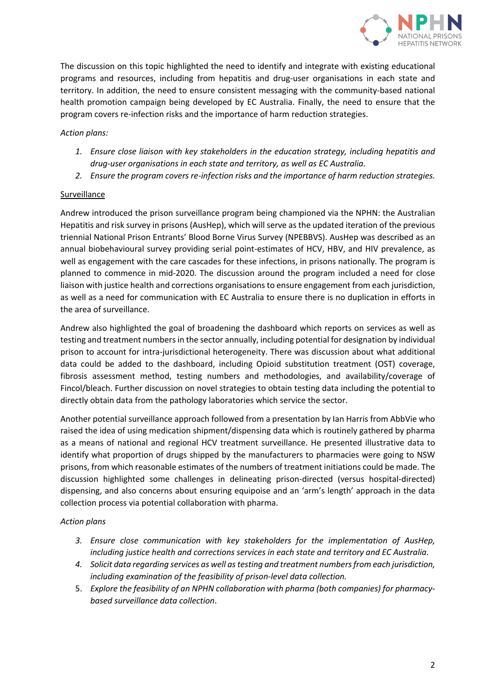

The discussion on this topic highlighted the need to identify and integrate with existing educational programs and resources, including from hepatitis and drug-user organisations in each state and territory. In addition, the need to ensure consistent messaging with the community-based national health promotion campaign being developed by EC Australia. Finally, the need to ensure that the program covers re-infection risks and the importance of harm reduction strategies.

## *Action plans:*

- *1. Ensure close liaison with key stakeholders in the education strategy, including hepatitis and drug-user organisations in each state and territory, as well as EC Australia.*
- *2. Ensure the program covers re-infection risks and the importance of harm reduction strategies.*

## Surveillance

Andrew introduced the prison surveillance program being championed via the NPHN: the Australian Hepatitis and risk survey in prisons (AusHep), which will serve as the updated iteration of the previous triennial National Prison Entrants' Blood Borne Virus Survey (NPEBBVS). AusHep was described as an annual biobehavioural survey providing serial point-estimates of HCV, HBV, and HIV prevalence, as well as engagement with the care cascades for these infections, in prisons nationally. The program is planned to commence in mid-2020. The discussion around the program included a need for close liaison with justice health and corrections organisations to ensure engagement from each jurisdiction, as well as a need for communication with EC Australia to ensure there is no duplication in efforts in the area of surveillance.

Andrew also highlighted the goal of broadening the dashboard which reports on services as well as testing and treatment numbers in the sector annually, including potential for designation by individual prison to account for intra-jurisdictional heterogeneity. There was discussion about what additional data could be added to the dashboard, including Opioid substitution treatment (OST) coverage, fibrosis assessment method, testing numbers and methodologies, and availability/coverage of Fincol/bleach. Further discussion on novel strategies to obtain testing data including the potential to directly obtain data from the pathology laboratories which service the sector.

Another potential surveillance approach followed from a presentation by Ian Harris from AbbVie who raised the idea of using medication shipment/dispensing data which is routinely gathered by pharma as a means of national and regional HCV treatment surveillance. He presented illustrative data to identify what proportion of drugs shipped by the manufacturers to pharmacies were going to NSW prisons, from which reasonable estimates of the numbers of treatment initiations could be made. The discussion highlighted some challenges in delineating prison-directed (versus hospital-directed) dispensing, and also concerns about ensuring equipoise and an 'arm's length' approach in the data collection process via potential collaboration with pharma.

#### *Action plans*

- *3. Ensure close communication with key stakeholders for the implementation of AusHep, including justice health and corrections services in each state and territory and EC Australia.*
- *4. Solicit data regarding services as well as testing and treatment numbers from each jurisdiction, including examination of the feasibility of prison-level data collection.*
- 5. *Explore the feasibility of an NPHN collaboration with pharma (both companies) for pharmacybased surveillance data collection*.